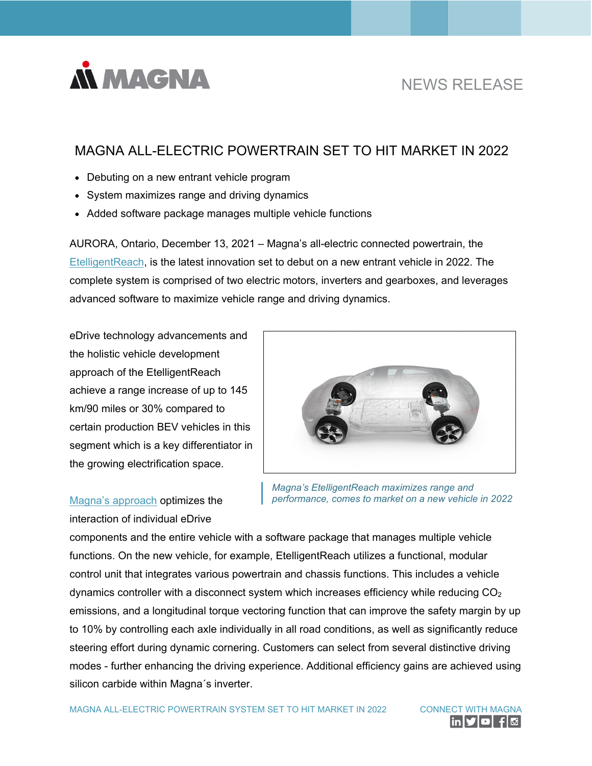

# NEWS RELEASE

# MAGNA ALL-ELECTRIC POWERTRAIN SET TO HIT MARKET IN 2022

- Debuting on a new entrant vehicle program
- System maximizes range and driving dynamics
- Added software package manages multiple vehicle functions

AURORA, Ontario, December 13, 2021 – Magna's all-electric connected powertrain, the [EtelligentReach,](https://www.magna.com/company/newsroom/releases/release/2021/03/04/news-release---magna-leverages-cloud-connectivity-and-advanced-e-mobility-innovations-to-decrease-emissions-and-increase-range) is the latest innovation set to debut on a new entrant vehicle in 2022. The complete system is comprised of two electric motors, inverters and gearboxes, and leverages advanced software to maximize vehicle range and driving dynamics.

eDrive technology advancements and the holistic vehicle development approach of the EtelligentReach achieve a range increase of up to 145 km/90 miles or 30% compared to certain production BEV vehicles in this segment which is a key differentiator in the growing electrification space.

# Magna's [approach](https://youtu.be/KmNWrh5F-UQ) optimizes the interaction of individual eDrive



*Magna's EtelligentReach maximizes range and performance, comes to market on a new vehicle in 2022*

components and the entire vehicle with a software package that manages multiple vehicle functions. On the new vehicle, for example, EtelligentReach utilizes a functional, modular control unit that integrates various powertrain and chassis functions. This includes a vehicle dynamics controller with a disconnect system which increases efficiency while reducing  $CO<sub>2</sub>$ emissions, and a longitudinal torque vectoring function that can improve the safety margin by up to 10% by controlling each axle individually in all road conditions, as well as significantly reduce steering effort during dynamic cornering. Customers can select from several distinctive driving modes - further enhancing the driving experience. Additional efficiency gains are achieved using silicon carbide within Magna´s inverter.

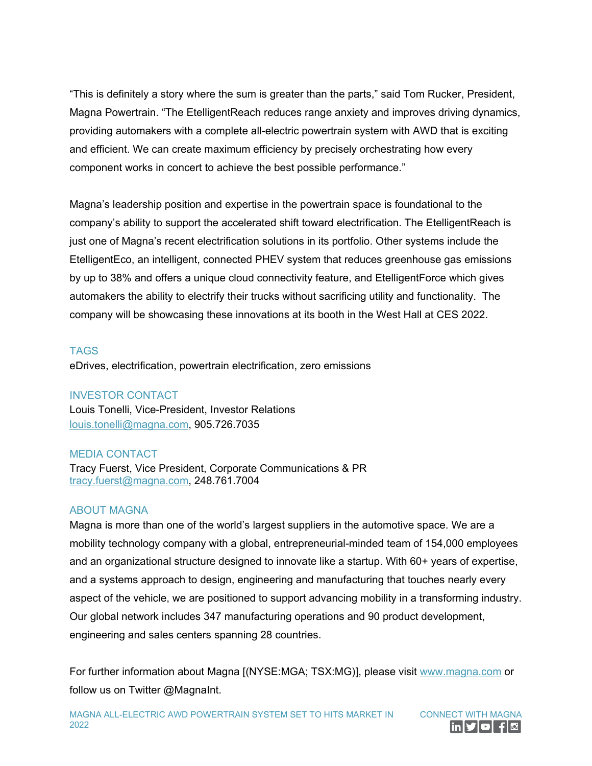"This is definitely a story where the sum is greater than the parts," said Tom Rucker, President, Magna Powertrain. "The EtelligentReach reduces range anxiety and improves driving dynamics, providing automakers with a complete all-electric powertrain system with AWD that is exciting and efficient. We can create maximum efficiency by precisely orchestrating how every component works in concert to achieve the best possible performance."

Magna's leadership position and expertise in the powertrain space is foundational to the company's ability to support the accelerated shift toward electrification. The EtelligentReach is just one of Magna's recent electrification solutions in its portfolio. Other systems include the EtelligentEco, an intelligent, connected PHEV system that reduces greenhouse gas emissions by up to 38% and offers a unique cloud connectivity feature, and EtelligentForce which gives automakers the ability to electrify their trucks without sacrificing utility and functionality. The company will be showcasing these innovations at its booth in the West Hall at CES 2022.

## **TAGS**

eDrives, electrification, powertrain electrification, zero emissions

### INVESTOR CONTACT

Louis Tonelli, Vice-President, Investor Relations [louis.tonelli@magna.com,](mailto:louis.tonelli@magna.com) 905.726.7035

### MEDIA CONTACT

Tracy Fuerst, Vice President, Corporate Communications & PR [tracy.fuerst@magna.com,](mailto:tracy.fuerst@magna.com) 248.761.7004

#### ABOUT MAGNA

Magna is more than one of the world's largest suppliers in the automotive space. We are a mobility technology company with a global, entrepreneurial-minded team of 154,000 employees and an organizational structure designed to innovate like a startup. With 60+ years of expertise, and a systems approach to design, engineering and manufacturing that touches nearly every aspect of the vehicle, we are positioned to support advancing mobility in a transforming industry. Our global network includes 347 manufacturing operations and 90 product development, engineering and sales centers spanning 28 countries.

For further information about Magna [(NYSE:MGA; TSX:MG)], please visit [www.magna.com](https://www.magna.com/) or follow us on Twitter @MagnaInt.

MAGNA ALL-ELECTRIC AWD POWERTRAIN SYSTEM SET TO HITS MARKET IN 2022